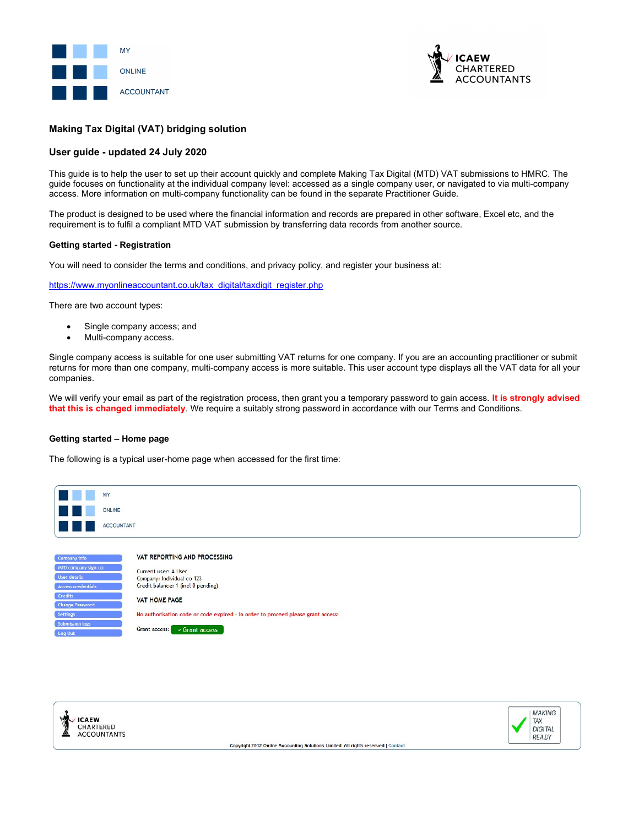



# Making Tax Digital (VAT) bridging solution

# User guide - updated 24 July 2020

This guide is to help the user to set up their account quickly and complete Making Tax Digital (MTD) VAT submissions to HMRC. The guide focuses on functionality at the individual company level: accessed as a single company user, or navigated to via multi-company access. More information on multi-company functionality can be found in the separate Practitioner Guide.

The product is designed to be used where the financial information and records are prepared in other software, Excel etc, and the requirement is to fulfil a compliant MTD VAT submission by transferring data records from another source.

# Getting started - Registration

You will need to consider the terms and conditions, and privacy policy, and register your business at:

https://www.myonlineaccountant.co.uk/tax\_digital/taxdigit\_register.php

There are two account types:

- Single company access; and
- Multi-company access.

Single company access is suitable for one user submitting VAT returns for one company. If you are an accounting practitioner or submit returns for more than one company, multi-company access is more suitable. This user account type displays all the VAT data for all your companies.

We will verify your email as part of the registration process, then grant you a temporary password to gain access. It is strongly advised that this is changed immediately. We require a suitably strong password in accordance with our Terms and Conditions.

#### Getting started – Home page

The following is a typical user-home page when accessed for the first time:



Grant access: > Grant access



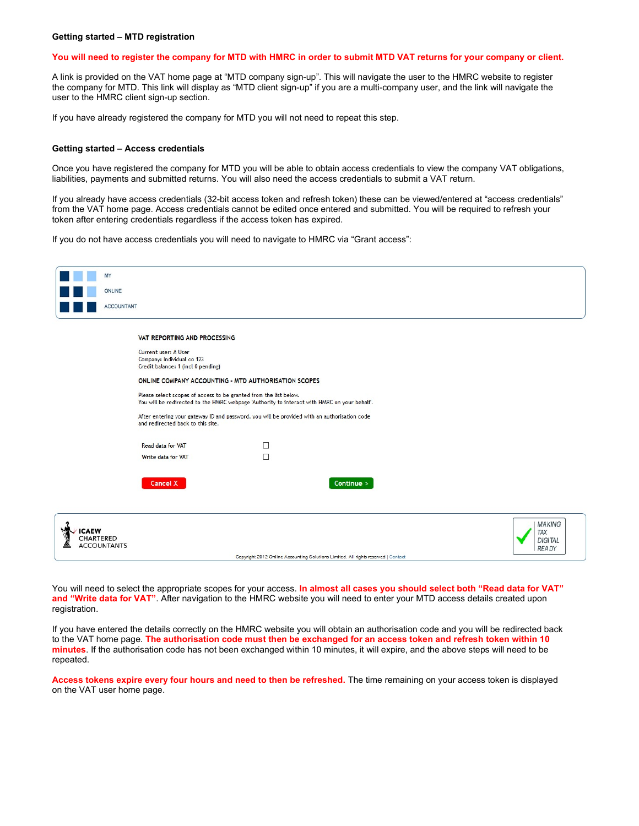#### Getting started – MTD registration

# You will need to register the company for MTD with HMRC in order to submit MTD VAT returns for your company or client.

A link is provided on the VAT home page at "MTD company sign-up". This will navigate the user to the HMRC website to register the company for MTD. This link will display as "MTD client sign-up" if you are a multi-company user, and the link will navigate the user to the HMRC client sign-up section.

If you have already registered the company for MTD you will not need to repeat this step.

## Getting started – Access credentials

Once you have registered the company for MTD you will be able to obtain access credentials to view the company VAT obligations, liabilities, payments and submitted returns. You will also need the access credentials to submit a VAT return.

If you already have access credentials (32-bit access token and refresh token) these can be viewed/entered at "access credentials" from the VAT home page. Access credentials cannot be edited once entered and submitted. You will be required to refresh your token after entering credentials regardless if the access token has expired.

If you do not have access credentials you will need to navigate to HMRC via "Grant access":

|                           | MY                 |                                                                                          |                                                                   |                                                                                              |                                                        |
|---------------------------|--------------------|------------------------------------------------------------------------------------------|-------------------------------------------------------------------|----------------------------------------------------------------------------------------------|--------------------------------------------------------|
|                           | ONLINE             |                                                                                          |                                                                   |                                                                                              |                                                        |
|                           | <b>ACCOUNTANT</b>  |                                                                                          |                                                                   |                                                                                              |                                                        |
|                           |                    |                                                                                          |                                                                   |                                                                                              |                                                        |
|                           |                    | VAT REPORTING AND PROCESSING                                                             |                                                                   |                                                                                              |                                                        |
|                           |                    | Current user: A User<br>Company: Individual co 123<br>Credit balance: 1 (incl 0 pending) |                                                                   |                                                                                              |                                                        |
|                           |                    |                                                                                          | ONLINE COMPANY ACCOUNTING - MTD AUTHORISATION SCOPES              |                                                                                              |                                                        |
|                           |                    |                                                                                          | Please select scopes of access to be granted from the list below. | You will be redirected to the HMRC webpage 'Authority to interact with HMRC on your behalf'. |                                                        |
|                           |                    | and redirected back to this site.                                                        |                                                                   | After entering your gateway ID and password, you will be provided with an authorisation code |                                                        |
|                           |                    | <b>Read data for VAT</b>                                                                 | □                                                                 |                                                                                              |                                                        |
|                           |                    | Write data for VAT                                                                       | П                                                                 |                                                                                              |                                                        |
|                           |                    |                                                                                          |                                                                   |                                                                                              |                                                        |
|                           |                    | Cancel X                                                                                 |                                                                   | Continue >                                                                                   |                                                        |
|                           |                    |                                                                                          |                                                                   |                                                                                              |                                                        |
| <b>ICAEW</b><br>CHARTERED | <b>ACCOUNTANTS</b> |                                                                                          |                                                                   | Copyright 2012 Online Accounting Solutions Limited. All rights reserved   Contact            | <b>MAKING</b><br>TAX<br><b>DIGITAL</b><br><b>READY</b> |
|                           |                    |                                                                                          |                                                                   |                                                                                              |                                                        |

You will need to select the appropriate scopes for your access. In almost all cases you should select both "Read data for VAT" and "Write data for VAT". After navigation to the HMRC website you will need to enter your MTD access details created upon registration.

If you have entered the details correctly on the HMRC website you will obtain an authorisation code and you will be redirected back to the VAT home page. The authorisation code must then be exchanged for an access token and refresh token within 10 minutes. If the authorisation code has not been exchanged within 10 minutes, it will expire, and the above steps will need to be repeated.

Access tokens expire every four hours and need to then be refreshed. The time remaining on your access token is displayed on the VAT user home page.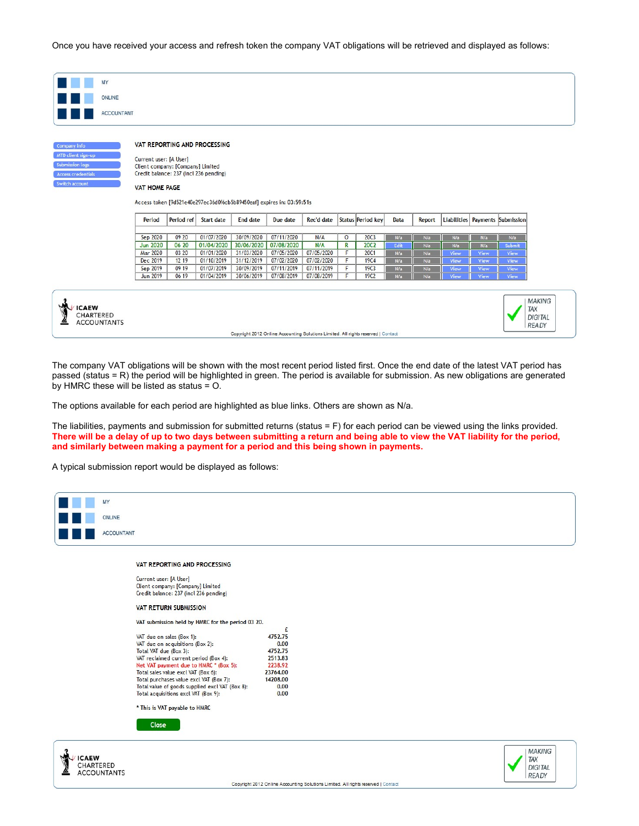Once you have received your access and refresh token the company VAT obligations will be retrieved and displayed as follows:

|                        | MY                |                                                             |                |                                                                       |                          |                          |                          |                  |                                 |            |            |              |              |                                 |
|------------------------|-------------------|-------------------------------------------------------------|----------------|-----------------------------------------------------------------------|--------------------------|--------------------------|--------------------------|------------------|---------------------------------|------------|------------|--------------|--------------|---------------------------------|
|                        |                   |                                                             |                |                                                                       |                          |                          |                          |                  |                                 |            |            |              |              |                                 |
|                        | <b>ONLINE</b>     |                                                             |                |                                                                       |                          |                          |                          |                  |                                 |            |            |              |              |                                 |
|                        | <b>ACCOUNTANT</b> |                                                             |                |                                                                       |                          |                          |                          |                  |                                 |            |            |              |              |                                 |
|                        |                   |                                                             |                |                                                                       |                          |                          |                          |                  |                                 |            |            |              |              |                                 |
|                        |                   |                                                             |                |                                                                       |                          |                          |                          |                  |                                 |            |            |              |              |                                 |
| Company info           |                   |                                                             |                | VAT REPORTING AND PROCESSING                                          |                          |                          |                          |                  |                                 |            |            |              |              |                                 |
| MTD client sign-up     |                   |                                                             |                |                                                                       |                          |                          |                          |                  |                                 |            |            |              |              |                                 |
| <b>Submission logs</b> |                   | Current user: [A User]<br>Client company: [Company] Limited |                |                                                                       |                          |                          |                          |                  |                                 |            |            |              |              |                                 |
| Access credentials     |                   | Credit balance: 237 (incl 236 pending)                      |                |                                                                       |                          |                          |                          |                  |                                 |            |            |              |              |                                 |
| Switch account         |                   | <b>VAT HOME PAGE</b>                                        |                |                                                                       |                          |                          |                          |                  |                                 |            |            |              |              |                                 |
|                        |                   |                                                             |                |                                                                       |                          |                          |                          |                  |                                 |            |            |              |              |                                 |
|                        |                   |                                                             |                |                                                                       |                          |                          |                          |                  |                                 |            |            |              |              |                                 |
|                        |                   |                                                             |                | Access token [9d521e40e297ec36d0f6cb5b89450eaf] expires in: 03:59:51s |                          |                          |                          |                  |                                 |            |            |              |              |                                 |
|                        |                   | Period                                                      | Period ref     | Start date                                                            | End date                 | Due date                 | Rec'd date               |                  | Status Period key               | Data       | Report     |              |              | Liabilities Payments Submission |
|                        |                   |                                                             |                |                                                                       |                          |                          |                          |                  |                                 |            |            |              |              |                                 |
|                        |                   | Sep 2020                                                    | 09 20          | 01/07/2020                                                            | 30/09/2020               | 07/11/2020               | N/A                      | $\circ$          | <b>20C3</b>                     | N/a        | N/a        | N/a          | N/a          | N/a                             |
|                        |                   | <b>Jun 2020</b>                                             | 06 20          | 01/04/2020                                                            | 30/06/2020               | 07/08/2020               | N/A                      | $\mathbb R$<br>F | <b>20C2</b>                     | Edit       | N/a        | N/a          | N/a          | Submit                          |
|                        |                   | Mar 2020<br>Dec 2019                                        | 03 20<br>12 19 | 01/01/2020<br>01/10/2019                                              | 31/03/2020<br>31/12/2019 | 07/05/2020<br>07/02/2020 | 07/05/2020<br>07/02/2020 | F                | <b>20C1</b><br><b>19C4</b>      | N/a<br>N/a | N/a<br>N/a | View<br>View | View<br>View | View<br>View                    |
|                        |                   | Sep 2019<br><b>Jun 2019</b>                                 | 09 19<br>06 19 | 01/07/2019<br>01/04/2019                                              | 30/09/2019<br>30/06/2019 | 07/11/2019<br>07/08/2019 | 07/11/2019<br>07/08/2019 | F<br>F           | <b>19C3</b><br>19C <sub>2</sub> | N/a        | N/a        | View         | View         | View                            |

The company VAT obligations will be shown with the most recent period listed first. Once the end date of the latest VAT period has passed (status = R) the period will be highlighted in green. The period is available for submission. As new obligations are generated by HMRC these will be listed as status = O.

The options available for each period are highlighted as blue links. Others are shown as N/a.

The liabilities, payments and submission for submitted returns (status = F) for each period can be viewed using the links provided. There will be a delay of up to two days between submitting a return and being able to view the VAT liability for the period, and similarly between making a payment for a period and this being shown in payments.

A typical submission report would be displayed as follows:

| MY                                                                                                                                                                                                                                                                                                                                                                                       |                                                                                          |                  |
|------------------------------------------------------------------------------------------------------------------------------------------------------------------------------------------------------------------------------------------------------------------------------------------------------------------------------------------------------------------------------------------|------------------------------------------------------------------------------------------|------------------|
| ONLINE                                                                                                                                                                                                                                                                                                                                                                                   |                                                                                          |                  |
| <b>ACCOUNTANT</b>                                                                                                                                                                                                                                                                                                                                                                        |                                                                                          |                  |
| VAT REPORTING AND PROCESSING                                                                                                                                                                                                                                                                                                                                                             |                                                                                          |                  |
| Current user: [A User]<br>Client company: [Company] Limited<br>Credit balance: 237 (incl 236 pending)                                                                                                                                                                                                                                                                                    |                                                                                          |                  |
| <b>VAT RETURN SUBMISSION</b>                                                                                                                                                                                                                                                                                                                                                             |                                                                                          |                  |
| VAT submission held by HMRC for the period 03 20.                                                                                                                                                                                                                                                                                                                                        | £                                                                                        |                  |
| VAT due on sales (Box 1):<br>VAT due on acquisitions (Box 2):<br>Total VAT due (Box 3):<br>VAT reclaimed current period (Box 4):<br>Net VAT payment due to HMRC * (Box 5):<br>Total sales value excl VAT (Box 6):<br>Total purchases value excl VAT (Box 7):<br>Total value of goods supplied excl VAT (Box 8):<br>Total acquisitions excl VAT (Box 9):<br>* This is VAT payable to HMRC | 4752.75<br>0.00<br>4752.75<br>2513.83<br>2238.92<br>23764.00<br>14208.00<br>0.00<br>0.00 |                  |
| Close                                                                                                                                                                                                                                                                                                                                                                                    |                                                                                          |                  |
|                                                                                                                                                                                                                                                                                                                                                                                          |                                                                                          | MAKING<br>$\sim$ |